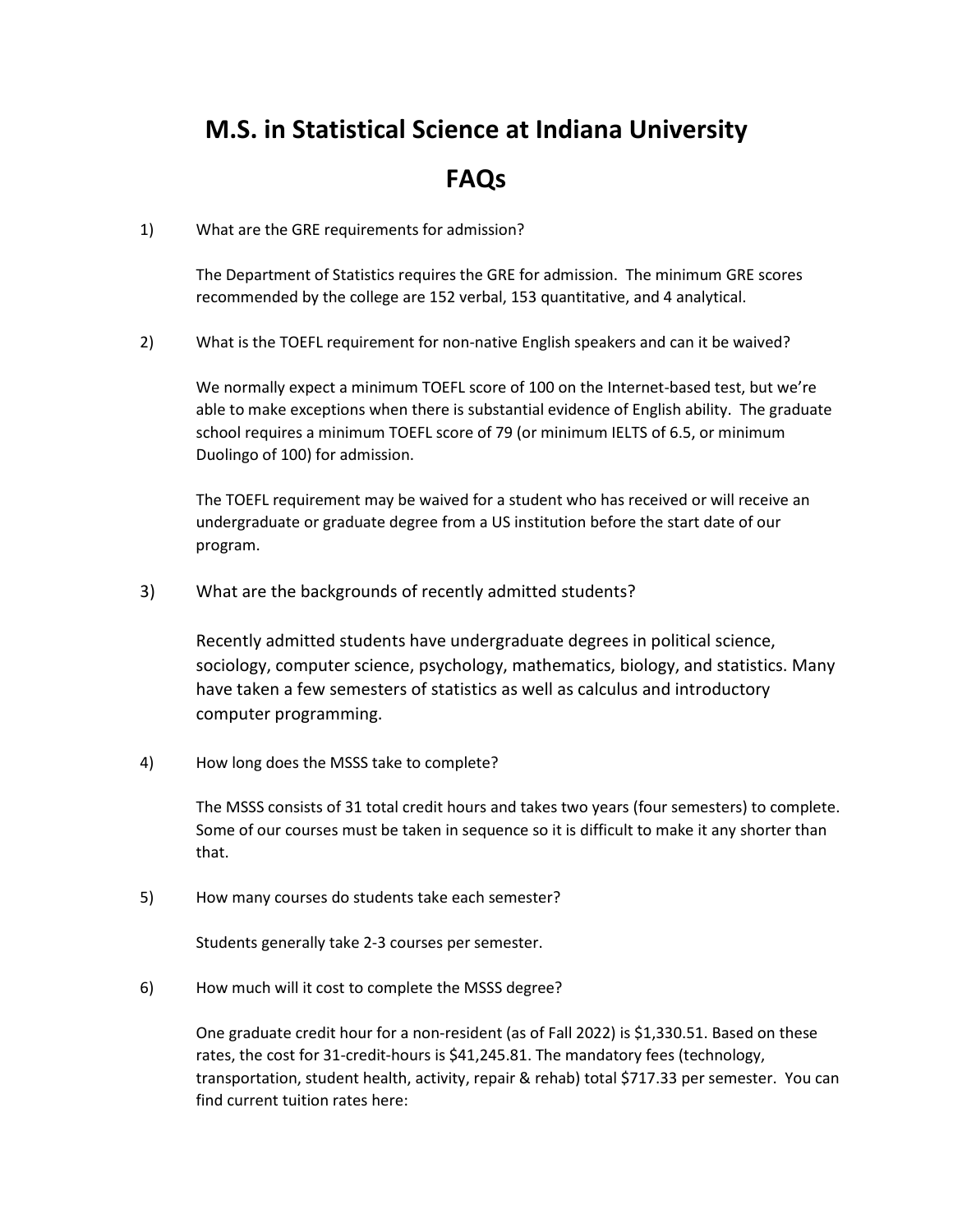## **M.S. in Statistical Science at Indiana University**

## **FAQs**

1) What are the GRE requirements for admission?

The Department of Statistics requires the GRE for admission. The minimum GRE scores recommended by the college are 152 verbal, 153 quantitative, and 4 analytical.

2) What is the TOEFL requirement for non-native English speakers and can it be waived?

We normally expect a minimum TOEFL score of 100 on the Internet-based test, but we're able to make exceptions when there is substantial evidence of English ability. The graduate school requires a minimum TOEFL score of 79 (or minimum IELTS of 6.5, or minimum Duolingo of 100) for admission.

The TOEFL requirement may be waived for a student who has received or will receive an undergraduate or graduate degree from a US institution before the start date of our program.

3) What are the backgrounds of recently admitted students?

Recently admitted students have undergraduate degrees in political science, sociology, computer science, psychology, mathematics, biology, and statistics. Many have taken a few semesters of statistics as well as calculus and introductory computer programming.

4) How long does the MSSS take to complete?

The MSSS consists of 31 total credit hours and takes two years (four semesters) to complete. Some of our courses must be taken in sequence so it is difficult to make it any shorter than that.

5) How many courses do students take each semester?

Students generally take 2-3 courses per semester.

6) How much will it cost to complete the MSSS degree?

One graduate credit hour for a non-resident (as of Fall 2022) is \$1,330.51. Based on these rates, the cost for 31-credit-hours is \$41,245.81. The mandatory fees (technology, transportation, student health, activity, repair & rehab) total \$717.33 per semester. You can find current tuition rates here: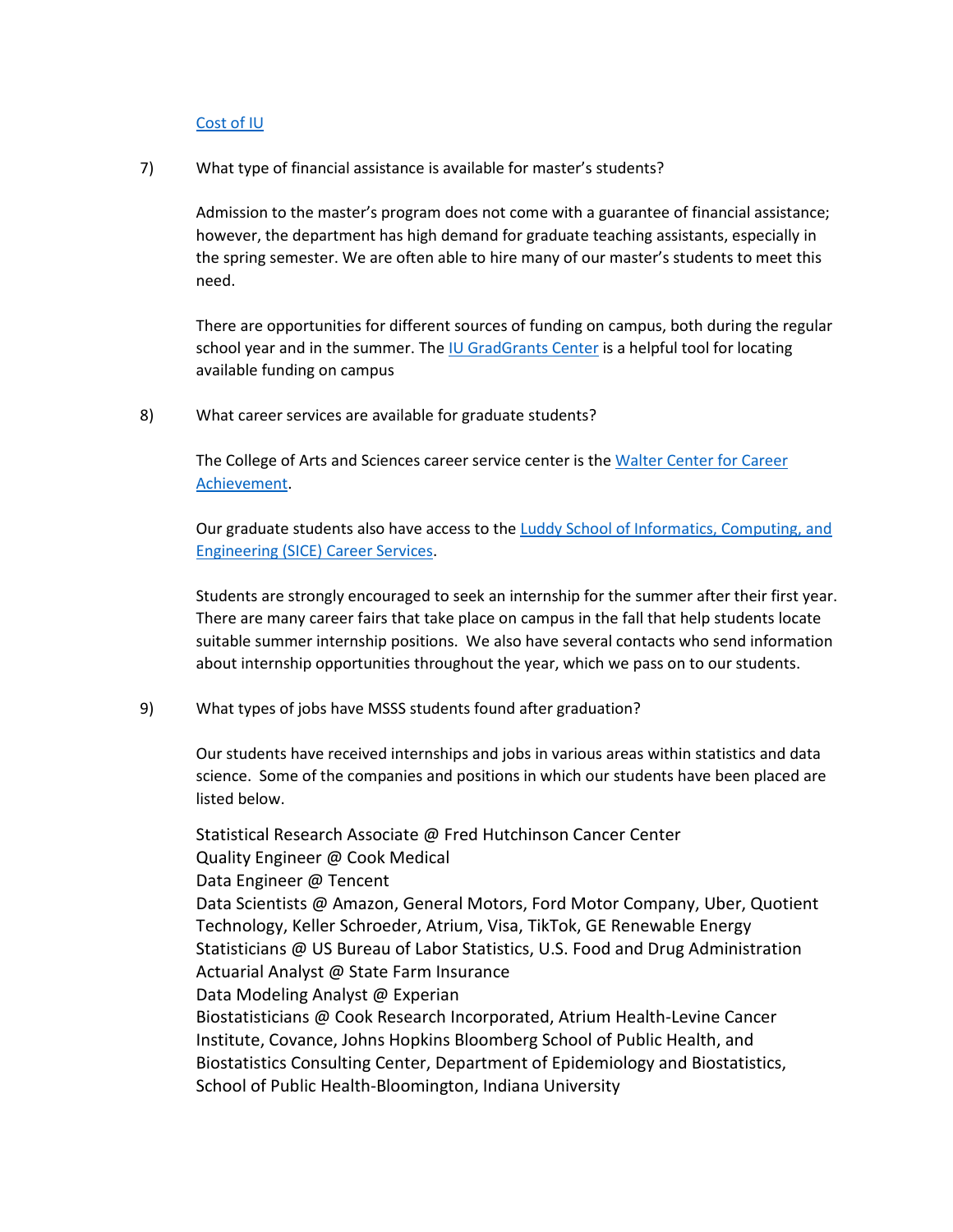## [Cost of IU](https://moneysmarts.iu.edu/calculate-costs/index.html)

7) What type of financial assistance is available for master's students?

Admission to the master's program does not come with a guarantee of financial assistance; however, the department has high demand for graduate teaching assistants, especially in the spring semester. We are often able to hire many of our master's students to meet this need.

There are opportunities for different sources of funding on campus, both during the regular school year and in the summer. The [IU GradGrants Center](https://gradgrants.indiana.edu/) is a helpful tool for locating available funding on campus

8) What career services are available for graduate students?

The College of Arts and Sciences career service center is the Walter Center for Career [Achievement.](https://careers.college.indiana.edu/)

Our graduate students also have access to the Luddy School of Informatics, Computing, and [Engineering \(SICE\) Career Services.](https://sice.indiana.edu/career-services/index.html)

Students are strongly encouraged to seek an internship for the summer after their first year. There are many career fairs that take place on campus in the fall that help students locate suitable summer internship positions. We also have several contacts who send information about internship opportunities throughout the year, which we pass on to our students.

9) What types of jobs have MSSS students found after graduation?

Our students have received internships and jobs in various areas within statistics and data science. Some of the companies and positions in which our students have been placed are listed below.

Statistical Research Associate @ Fred Hutchinson Cancer Center Quality Engineer @ Cook Medical Data Engineer @ Tencent Data Scientists @ Amazon, General Motors, Ford Motor Company, Uber, Quotient Technology, Keller Schroeder, Atrium, Visa, TikTok, GE Renewable Energy Statisticians @ US Bureau of Labor Statistics, U.S. Food and Drug Administration Actuarial Analyst @ State Farm Insurance Data Modeling Analyst @ Experian Biostatisticians @ Cook Research Incorporated, Atrium Health-Levine Cancer Institute, Covance, Johns Hopkins Bloomberg School of Public Health, and Biostatistics Consulting Center, Department of Epidemiology and Biostatistics, School of Public Health-Bloomington, Indiana University